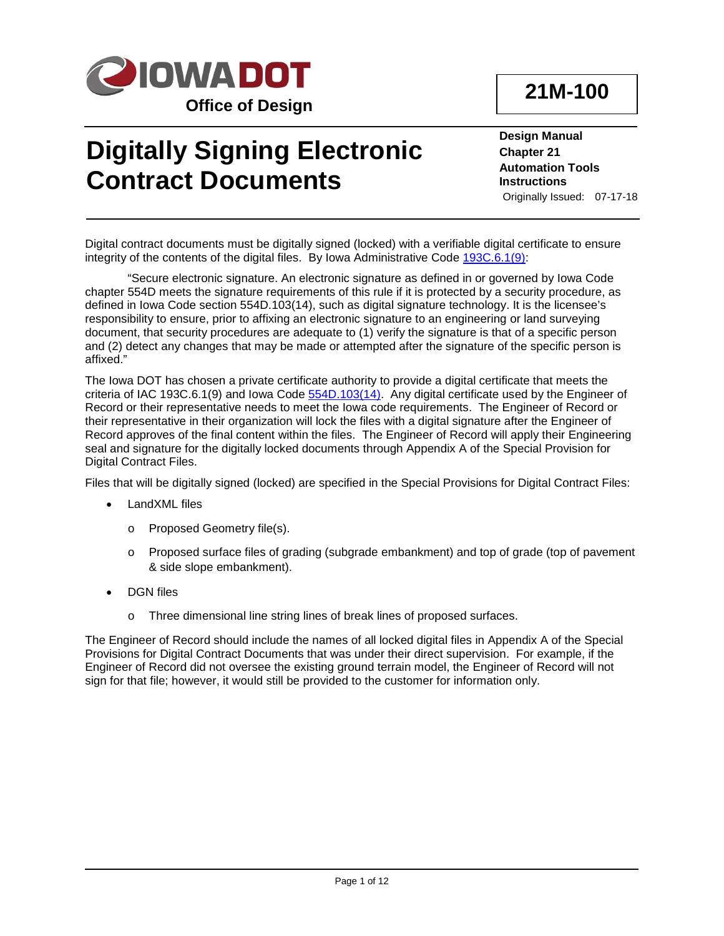

# **21M-100**

# **Digitally Signing Electronic Contract Documents**

**Design Manual Chapter 21 Automation Tools Instructions** Originally Issued: 07-17-18

Digital contract documents must be digitally signed (locked) with a verifiable digital certificate to ensure integrity of the contents of the digital files. By Iowa Administrative Code [193C.6.1\(9\):](https://www.legis.iowa.gov/docs/iac/agency/193C.pdf)

"Secure electronic signature. An electronic signature as defined in or governed by Iowa Code chapter 554D meets the signature requirements of this rule if it is protected by a security procedure, as defined in Iowa Code section 554D.103(14), such as digital signature technology. It is the licensee's responsibility to ensure, prior to affixing an electronic signature to an engineering or land surveying document, that security procedures are adequate to (1) verify the signature is that of a specific person and (2) detect any changes that may be made or attempted after the signature of the specific person is affixed."

The Iowa DOT has chosen a private certificate authority to provide a digital certificate that meets the criteria of IAC 193C.6.1(9) and Iowa Code  $554D.103(14)$ . Any digital certificate used by the Engineer of Record or their representative needs to meet the Iowa code requirements. The Engineer of Record or their representative in their organization will lock the files with a digital signature after the Engineer of Record approves of the final content within the files. The Engineer of Record will apply their Engineering seal and signature for the digitally locked documents through Appendix A of the Special Provision for Digital Contract Files.

Files that will be digitally signed (locked) are specified in the Special Provisions for Digital Contract Files:

- LandXML files
	- o Proposed Geometry file(s).
	- o Proposed surface files of grading (subgrade embankment) and top of grade (top of pavement & side slope embankment).
- DGN files
	- o Three dimensional line string lines of break lines of proposed surfaces.

The Engineer of Record should include the names of all locked digital files in Appendix A of the Special Provisions for Digital Contract Documents that was under their direct supervision. For example, if the Engineer of Record did not oversee the existing ground terrain model, the Engineer of Record will not sign for that file; however, it would still be provided to the customer for information only.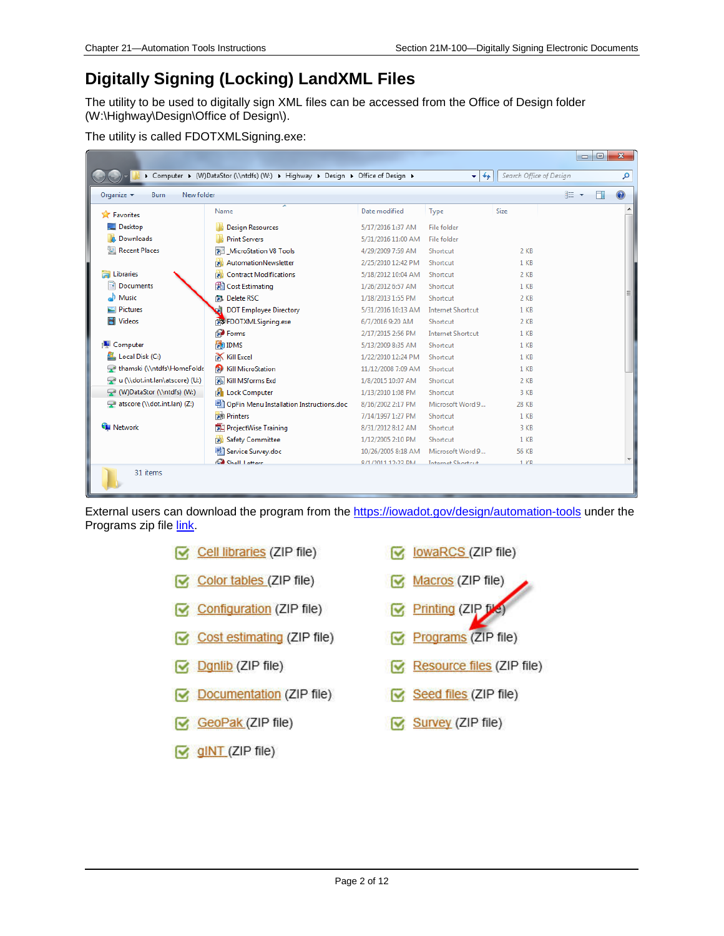### **Digitally Signing (Locking) LandXML Files**

The utility to be used to digitally sign XML files can be accessed from the Office of Design folder (W:\Highway\Design\Office of Design\).

| The utility is called FDOTXMLSigning.exe: |  |
|-------------------------------------------|--|
|-------------------------------------------|--|

|                                                            |                                                                               |                    |                           |                         | $\Box$ | $\Box$ | $\mathbf{x}$ |
|------------------------------------------------------------|-------------------------------------------------------------------------------|--------------------|---------------------------|-------------------------|--------|--------|--------------|
|                                                            | Computer ▶ (W)DataStor (\\ntdfs) (W:) ▶ Highway ▶ Design ▶ Office of Design ▶ |                    | $\mathbf{v}$ $\mathbf{t}$ | Search Office of Design |        |        | م            |
| Organize $\blacktriangledown$<br>New folder<br><b>Burn</b> |                                                                               |                    |                           |                         | 胆 ▼    | m      | 0            |
| <b>X</b> Favorites                                         | Name                                                                          | Date modified      | Type                      | Size                    |        |        |              |
| Desktop                                                    | <b>Design Resources</b>                                                       | 5/17/2016 1:37 AM  | File folder               |                         |        |        |              |
| Downloads                                                  | <b>Print Servers</b>                                                          | 5/31/2016 11:00 AM | File folder               |                         |        |        |              |
| <b>Recent Places</b><br>93                                 | MicroStation V8 Tools                                                         | 4/29/2009 7:59 AM  | Shortcut                  | 2 KB                    |        |        |              |
|                                                            | AutomationNewsletter                                                          | 2/25/2010 12:42 PM | Shortcut                  | $1$ KB                  |        |        |              |
| Libraries                                                  | <b>Contract Modifications</b><br><b>EXI</b>                                   | 5/18/2012 10:04 AM | Shortcut                  | $2$ KB                  |        |        |              |
| <b>Documents</b>                                           | <b>H</b> Cost Estimating                                                      | 1/26/2012 6:57 AM  | Shortcut                  | $1$ KB                  |        |        |              |
| Music                                                      | <b>Delete RSC</b>                                                             | 1/18/2013 1:55 PM  | Shortcut                  | 2 KB                    |        |        |              |
| Pictures                                                   | <b>DOT Employee Directory</b>                                                 | 5/31/2016 10:13 AM | <b>Internet Shortcut</b>  | 1 <sub>KB</sub>         |        |        |              |
| Ħ<br><b>Videos</b>                                         | FDOTXMLSigning.exe                                                            | 6/7/2016 9:20 AM   | Shortcut                  | $2$ KB                  |        |        |              |
|                                                            | <b>P</b> Forms                                                                | 2/17/2015 2:56 PM  | <b>Internet Shortcut</b>  | $1$ KB                  |        |        |              |
| Computer                                                   | <b>FOR IDMS</b>                                                               | 5/13/2009 8:35 AM  | Shortcut                  | $1$ KB                  |        |        |              |
| Local Disk (C:)                                            | <b>Kill Excel</b>                                                             | 1/22/2010 12:24 PM | Shortcut                  | $1$ KB                  |        |        |              |
| thamski (\\ntdfs\HomeFolde                                 | <b>R</b> Kill MicroStation                                                    | 11/12/2008 7:09 AM | Shortcut                  | $1$ KB                  |        |        |              |
| u (\\dot.int.lan\atscore) (U:)                             | Kill MSforms Exd                                                              | 1/8/2015 10:07 AM  | Shortcut                  | $2$ KB                  |        |        |              |
| (W:) (W)DataStor (\\ntdfs) (W:)                            | <b>Et Lock Computer</b>                                                       | 1/13/2010 1:08 PM  | Shortcut                  | 3 KB                    |        |        |              |
| atscore (\\dot.int.lan) (Z:)                               | OpFin Menu Installation Instructions.doc                                      | 8/16/2002 2:17 PM  | Microsoft Word 9          | <b>28 KB</b>            |        |        |              |
|                                                            | <b>Printers</b>                                                               | 7/14/1997 1:27 PM  | Shortcut                  | $1$ KB                  |        |        |              |
| <b>Cu</b> Network                                          | <b>ProjectWise Training</b>                                                   | 8/31/2012 8:12 AM  | Shortcut                  | 3 KB                    |        |        |              |
|                                                            | Safety Committee                                                              | 1/12/2005 2:10 PM  | Shortcut                  | $1$ KB                  |        |        |              |
|                                                            | Service Survey.doc                                                            | 10/26/2005 8:18 AM | Microsoft Word 9          | <b>56 KB</b>            |        |        |              |
|                                                            | Chall Lettere                                                                 | R/1/2011 12-23 DM  | <b>Internet Shortcut</b>  | $1$ $K$ R               |        |        |              |
| 31 items                                                   |                                                                               |                    |                           |                         |        |        |              |

External users can download the program from the<https://iowadot.gov/design/automation-tools> under the Programs zip file link.

- $\triangleright$  Cell libraries (ZIP file)
- $\triangleright$  Color tables (ZIP file)
- Configuration (ZIP file)
- $\triangleright$  Cost estimating (ZIP file)
- Ognlib (ZIP file)
- $\boxed{\sim}$  Documentation (ZIP file)
- GeoPak (ZIP file)
- $\boxed{\mathbf{C}}$  giNT (ZIP file)
- $\triangledown$  lowaRCS (ZIP file)
- Macros (ZIP file) Ñ.
- Printing (ZIP fill ☞
- Programs (ZIP file) M
- Resource files (ZIP file) ឃ
- Seed files (ZIP file)  $\mathbf{\nabla}$
- Survey (ZIP file)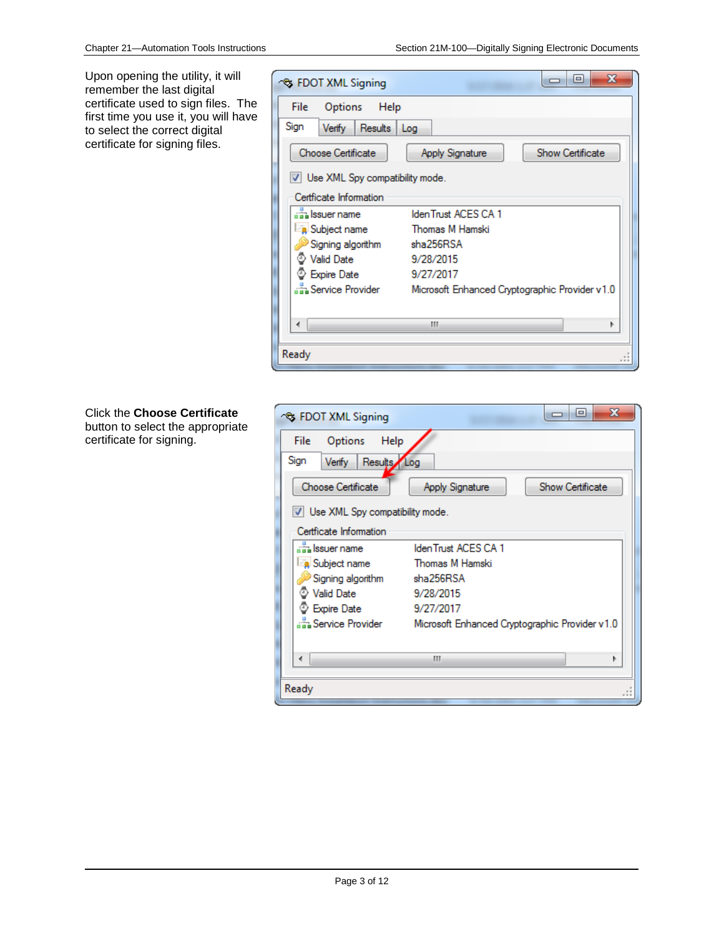Upon opening the utility, it will remember the last digital certificate used to sign files. The first time you use it, you will have to select the correct digital certificate for signing files.

| <b>S FDOT XML Signing</b>         | х<br>e                                         |
|-----------------------------------|------------------------------------------------|
| File<br>Options Help              |                                                |
| Sign<br>Results Log<br>Verify     |                                                |
| Choose Certificate                | <b>Show Certificate</b><br>Apply Signature     |
| V Use XML Spy compatibility mode. |                                                |
| Certficate Information            |                                                |
| an Issuer name                    | IdenTrust ACES CA 1                            |
| Subject name                      | Thomas M Hamski                                |
| Signing algorithm                 | sha256RSA                                      |
| <b>Valid Date</b>                 | 9/28/2015                                      |
| <b>Expire Date</b>                | 9/27/2017                                      |
| Service Provider                  | Microsoft Enhanced Cryptographic Provider v1.0 |
|                                   |                                                |
|                                   | ш                                              |
| Ready                             |                                                |

#### Click the **Choose Certificate** button to select the appropriate certificate for signing.

| <b>S FDOT XML Signing</b>             | х<br>e                                         |
|---------------------------------------|------------------------------------------------|
| Help<br><b>Options</b><br><b>File</b> |                                                |
| Sign<br>Results Log<br>Verify         |                                                |
| Choose Certificate                    | <b>Show Certificate</b><br>Apply Signature     |
| V Use XML Spy compatibility mode.     |                                                |
| Certficate Information                |                                                |
| an Issuer name                        | IdenTrust ACES CA 1                            |
| <b>R</b> Subject name                 | Thomas M Hamski                                |
| Signing algorithm                     | sha256RSA                                      |
| <b>Valid Date</b>                     | 9/28/2015                                      |
| <b>Expire Date</b>                    | 9/27/2017                                      |
| ക്ക Service Provider                  | Microsoft Enhanced Cryptographic Provider v1.0 |
|                                       |                                                |
|                                       | m                                              |
|                                       |                                                |
| Ready                                 |                                                |
|                                       |                                                |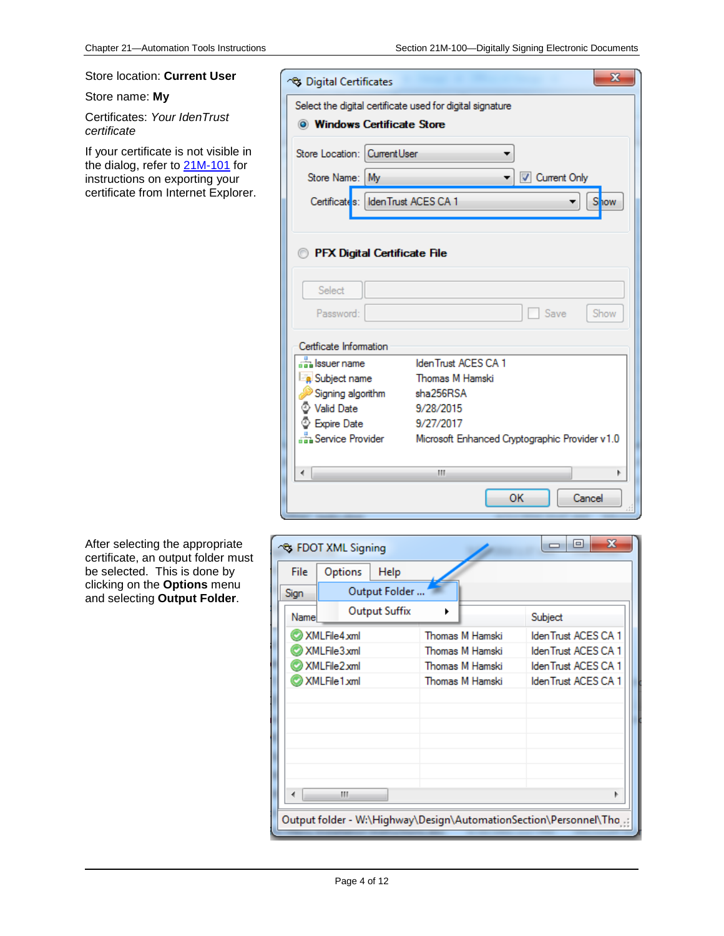**S** Digital Certificates

Select the digital certificate used for digital signature

**Windows Certificate Store** 

Certificates: IdenTrust ACES CA 1

**PFX Digital Certificate File** 

Store Location: Current User

Store Name: My

۰ ┯║

Current Only

۰

 $\mathbf{X}$ 

Show

#### Store location: **Current User**

#### Store name: **My**

Certificates: *Your IdenTrust certificate*

If your certificate is not visible in the dialog, refer to 21M-101 for instructions on exporting your certificate from Internet Explorer.

> Select Show Password: Save Certficate Information an Issuer name IdenTrust ACES CA 1 Subject name Thomas M Hamski Signing algorithm sha256RSA S Valid Date 9/28/2015 Expire Date 9/27/2017 Service Provider Microsoft Enhanced Cryptographic Provider v1.0  $\overline{4}$  $\mathbf{H}$  .  $\blacktriangleright$ OK Cancel

After selecting the appropriate certificate, an output folder must be selected. This is done by clicking on the **Options** menu and selecting **Output Folder**.

|                                                                   | S FDOT XML Signing   |                 | х<br>$\qquad \qquad \blacksquare$ |  |
|-------------------------------------------------------------------|----------------------|-----------------|-----------------------------------|--|
| File                                                              | Options<br>Help      |                 |                                   |  |
| Sign                                                              | Output Folder        |                 |                                   |  |
| Name                                                              | <b>Output Suffix</b> |                 | Subject                           |  |
|                                                                   | XMLFile4.xml         | Thomas M Hamski | IdenTrust ACES CA 1               |  |
|                                                                   | XMLFile3.xml         | Thomas M Hamski | IdenTrust ACES CA 1               |  |
|                                                                   | XMLFile2.xml         | Thomas M Hamski | IdenTrust ACES CA 1               |  |
|                                                                   | XMLFile1.xml         | Thomas M Hamski | IdenTrust ACES CA 1               |  |
|                                                                   |                      |                 |                                   |  |
|                                                                   |                      |                 |                                   |  |
|                                                                   |                      |                 |                                   |  |
|                                                                   |                      |                 |                                   |  |
|                                                                   |                      |                 |                                   |  |
|                                                                   |                      |                 |                                   |  |
|                                                                   | Ш                    |                 |                                   |  |
|                                                                   |                      |                 |                                   |  |
| Output folder - W:\Highway\Design\AutomationSection\Personnel\Tho |                      |                 |                                   |  |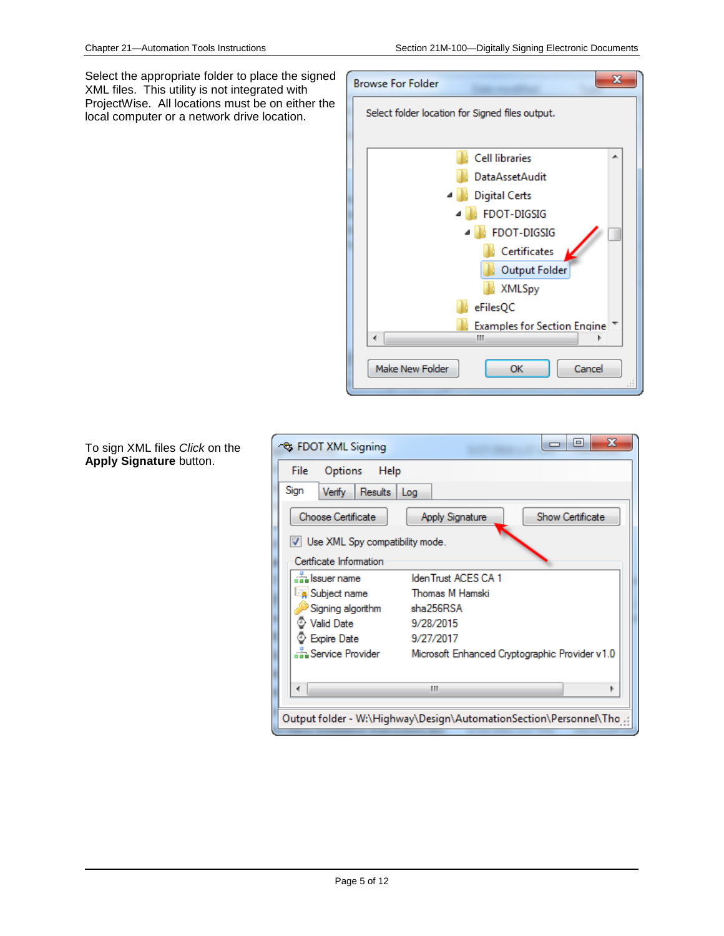Select the appropriate folder to place the signed XML files. This utility is not integrated with ProjectWise. All locations must be on either the local computer or a network drive location.



To sign XML files *Click* on the **Apply Signature** button.

| ਾਲ FDOT XML Signing               | $\mathbf{x}$<br>$\Box$                                            |
|-----------------------------------|-------------------------------------------------------------------|
| File<br>Options<br>Help           |                                                                   |
| Sign<br>Verify<br>Results Log     |                                                                   |
| Choose Certificate                | <b>Show Certificate</b><br>Apply Signature                        |
| V Use XML Spy compatibility mode. |                                                                   |
| Certficate Information            |                                                                   |
| Issuer name                       | IdenTrust ACES CA 1                                               |
| <b>a</b> Subject name             | Thomas M Hamski                                                   |
| Signing algorithm                 | sha256RSA                                                         |
| <b>Valid Date</b>                 | 9/28/2015                                                         |
| <b>Expire Date</b>                | 9/27/2017                                                         |
| Service Provider                  | Microsoft Enhanced Cryptographic Provider v1.0                    |
|                                   | ш                                                                 |
|                                   | Output folder - W:\Highway\Design\AutomationSection\Personnel\Tho |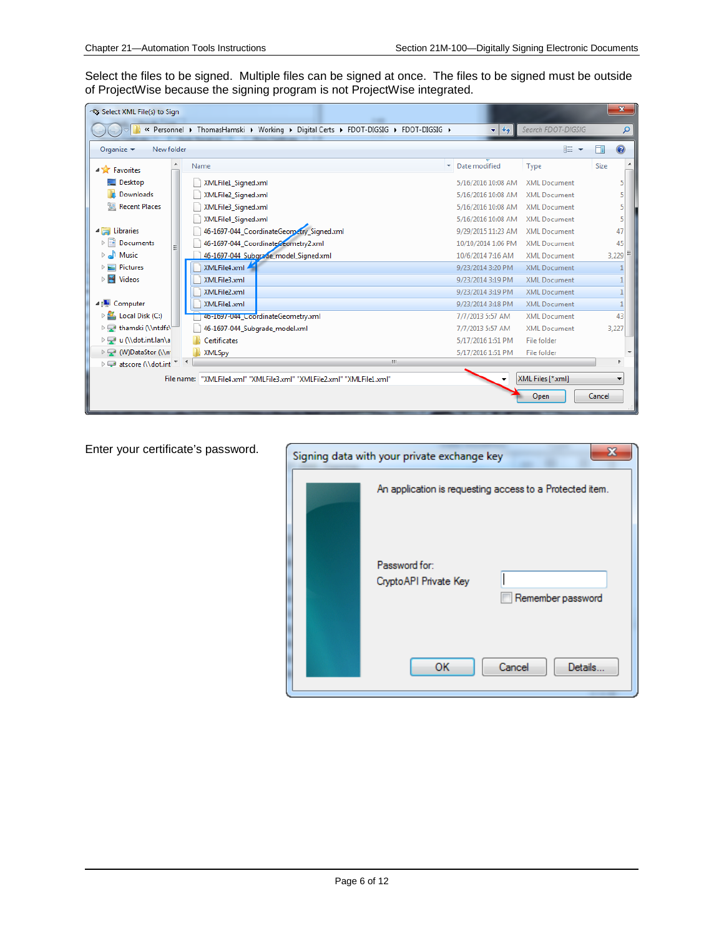Select the files to be signed. Multiple files can be signed at once. The files to be signed must be outside of ProjectWise because the signing program is not ProjectWise integrated.

| Select XML File(s) to Sign                  |                                                                                    |                                  |                     | $\mathbf{x}$ |
|---------------------------------------------|------------------------------------------------------------------------------------|----------------------------------|---------------------|--------------|
|                                             | « Personnel ▶ ThomasHamski ▶ Working ▶ Digital Certs ▶ FDOT-DIGSIG ▶ FDOT-DIGSIG ▶ | $4+$<br>$\overline{\phantom{a}}$ | Search FDOT-DIGSIG  | ۹            |
| Organize $\blacktriangledown$<br>New folder |                                                                                    |                                  | #田▼                 | 2            |
| <b>4 X</b> Favorites                        | Name                                                                               | Date modified                    | Type                | Size         |
| Desktop                                     | XMLFile1 Signed.xml                                                                | 5/16/2016 10:08 AM               | <b>XML Document</b> | 5            |
| <b>Downloads</b>                            | XMLFile2 Signed.xml                                                                | 5/16/2016 10:08 AM               | <b>XML Document</b> | 5            |
| 駂<br><b>Recent Places</b>                   | XMLFile3_Signed.xml                                                                | 5/16/2016 10:08 AM               | <b>XML Document</b> | 5            |
|                                             | XMLFile4 Signed.xml                                                                | 5/16/2016 10:08 AM               | <b>XML Document</b> | 5            |
| <b>A</b> Libraries                          | 46-1697-044_CoordinateGeorpetry_Signed.xml                                         | 9/29/2015 11:23 AM               | <b>XML Document</b> | 47           |
| E<br><b>Documents</b>                       | 46-1697-044_CoordinateCeometry2.xml                                                | 10/10/2014 1:06 PM               | <b>XML Document</b> | 45           |
| Music                                       | 46-1697-044 Subgrade model Signed.xml                                              | 10/6/2014 7:16 AM                | <b>XML Document</b> | 3,229        |
| <b>Pictures</b>                             | XMLFile4.xml                                                                       | 9/23/2014 3:20 PM                | <b>XML Document</b> |              |
| H<br><b>Videos</b><br>▷                     | XMLFile3.xml                                                                       | 9/23/2014 3:19 PM                | <b>XML Document</b> |              |
|                                             | XMLFile2.xml                                                                       | 9/23/2014 3:19 PM                | <b>XML Document</b> | 1            |
| 4 <sup>1</sup> Computer                     | XMLFile1.xml                                                                       | 9/23/2014 3:18 PM                | <b>XML Document</b> | $\mathbf{1}$ |
| Local Disk (C:)                             | 4b-1b97-044_CoordinateGeometry.xml                                                 | 7/7/2013 5:57 AM                 | <b>XML Document</b> | 43           |
| ▷ Hamski (\\ntdfs\                          | 46-1697-044 Subgrade model.xml                                                     | 7/7/2013 5:57 AM                 | <b>XML Document</b> | 3,227        |
| De u (\\dot.int.lan\a                       | <b>Certificates</b>                                                                | 5/17/2016 1:51 PM                | File folder         |              |
| ▷ → (W)DataStor (\\n                        | XMLSpy                                                                             | 5/17/2016 1:51 PM                | File folder         |              |
| ﴾ الله atscore Mdot.int                     | $\mathbf{H}$ .                                                                     |                                  |                     |              |
| File name:                                  | "XMLFile4.xml" "XMLFile3.xml" "XMLFile2.xml" "XMLFile1.xml"                        |                                  | XML Files [*.xml]   |              |
|                                             |                                                                                    |                                  | Open                | Cancel       |

Enter your certificate's password.

| S.<br>Signing data with your private exchange key            |
|--------------------------------------------------------------|
| An application is requesting access to a Protected item.     |
| Password for:<br>Crypto API Private Key<br>Remember password |
| OК<br>Cancel<br>Details                                      |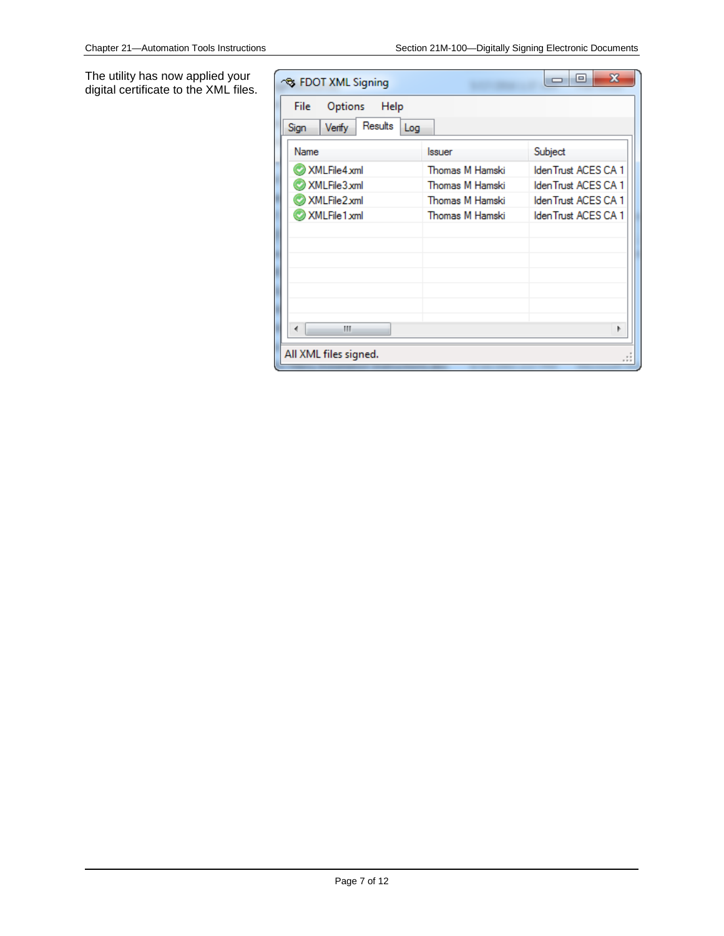The utility has now applied your digital certificate to the XML files.

| <b>S FDOT XML Signing</b>        |                 | x<br>e              |
|----------------------------------|-----------------|---------------------|
| Options<br>Help<br>File          |                 |                     |
| Results<br>Verify<br>Log<br>Sign |                 |                     |
| Name                             | Issuer          | Subject             |
| XMLFile4xml                      | Thomas M Hamski | IdenTrust ACES CA 1 |
| XMLFile3xml                      | Thomas M Hamski | IdenTrust ACES CA 1 |
| XMLFile2xml                      | Thomas M Hamski | IdenTrust ACES CA 1 |
| XMLFile1xml                      | Thomas M Hamski | IdenTrust ACES CA 1 |
|                                  |                 |                     |
|                                  |                 |                     |
|                                  |                 |                     |
|                                  |                 |                     |
|                                  |                 |                     |
|                                  |                 |                     |
| Ш                                |                 |                     |
| All XML files signed.            |                 |                     |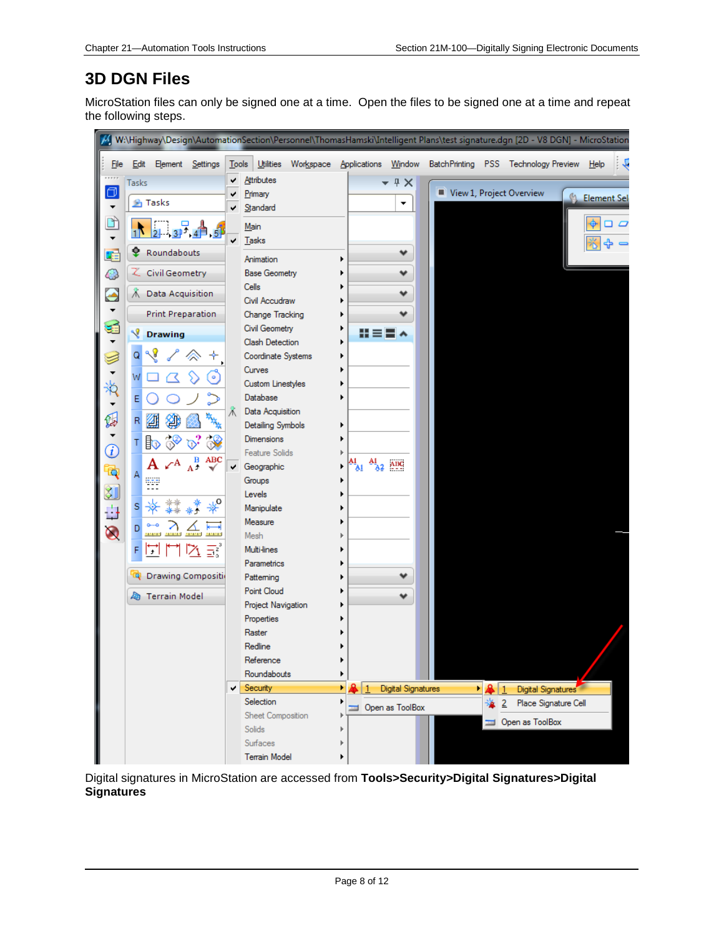### **3D DGN Files**

MicroStation files can only be signed one at a time. Open the files to be signed one at a time and repeat the following steps.



Digital signatures in MicroStation are accessed from **Tools>Security>Digital Signatures>Digital Signatures**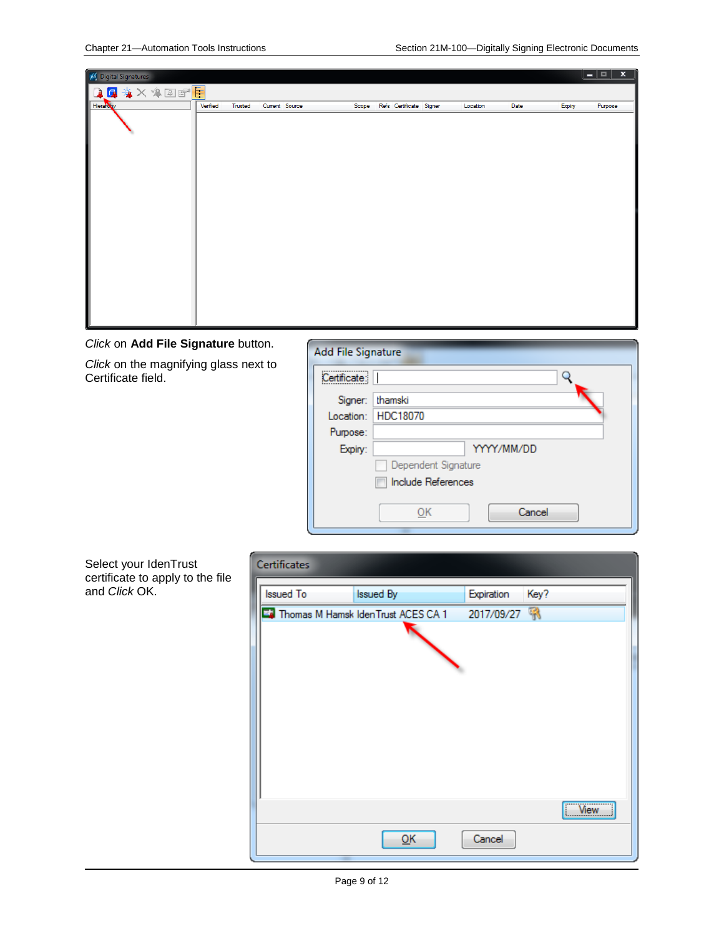

*Click* on **Add File Signature** button.

*Click* on the magnifying glass next to Certificate field.

| <b>Add File Signature</b> |                      |
|---------------------------|----------------------|
| Certificate:              |                      |
| Signer:                   | thamski              |
|                           | Location:   HDC18070 |
| Purpose:                  |                      |
| Expiry:                   | YYYY/MM/DD           |
|                           | Dependent Signature  |
|                           | Include References   |
|                           | Cancel<br>ОК         |

Select your IdenTrust certificate to apply to the file and *Click* OK.

| Certificates     |                                       |            |      |         |
|------------------|---------------------------------------|------------|------|---------|
| <b>Issued To</b> | Issued By                             | Expiration | Key? |         |
|                  | To Thomas M Hamsk IdenTrust ACES CA 1 | 2017/09/27 |      |         |
|                  |                                       |            |      |         |
|                  | QK                                    | Cancel     |      | $W$ iew |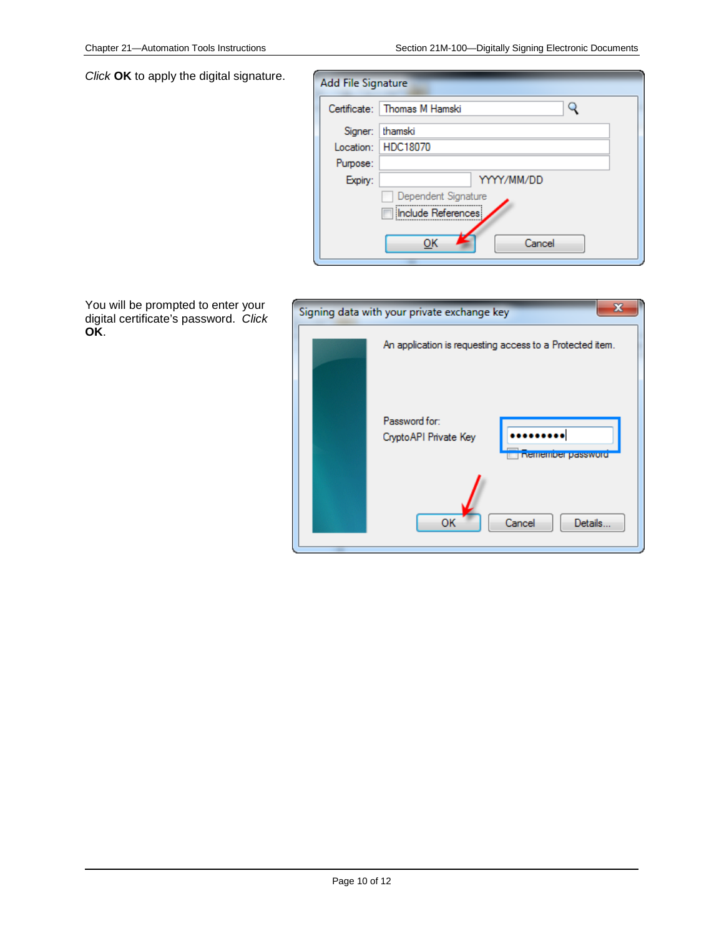*Click* **OK** to apply the digital signature.

| Add File Signature |                                |
|--------------------|--------------------------------|
|                    | Certificate:   Thomas M Hamski |
| Signer:            | thamski                        |
| Location:          | HDC18070                       |
| Purpose:           |                                |
| Expiry:            | YYYY/MM/DD                     |
|                    | Dependent Signature            |
|                    | Include References             |
|                    | ок<br>Cancel                   |

You will be prompted to enter your digital certificate's password. *Click* **OK**.

| Signing data with your private exchange key                  |  |  |  |  |  |
|--------------------------------------------------------------|--|--|--|--|--|
| An application is requesting access to a Protected item.     |  |  |  |  |  |
| Password for:<br>Crypto API Private Key<br>nemember password |  |  |  |  |  |
| OK<br>Cancel<br>Details                                      |  |  |  |  |  |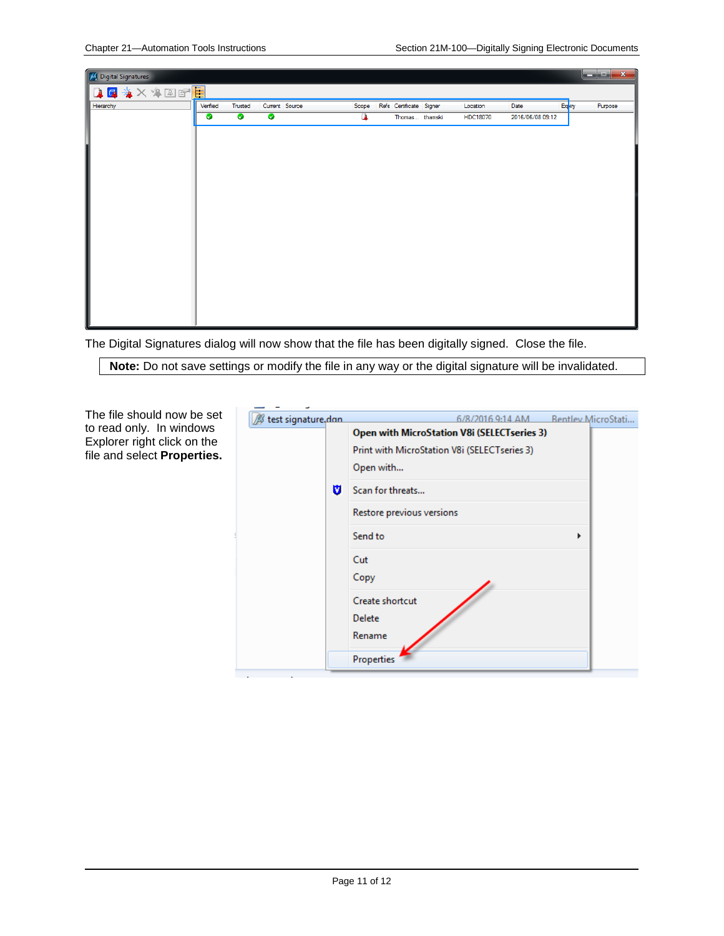

The Digital Signatures dialog will now show that the file has been digitally signed. Close the file.

**Note:** Do not save settings or modify the file in any way or the digital signature will be invalidated.

| B test signature, don<br><b>Bentley MicroStati</b><br>6/8/2016 9:14 AM<br>Open with MicroStation V8i (SELECTseries 3)<br>Explorer right click on the<br>Print with MicroStation V8i (SELECTseries 3)<br>file and select Properties.<br>Open with<br>U<br>Scan for threats<br>Restore previous versions<br>Send to<br>Cut<br>Copy<br>Create shortcut<br>Delete<br>Rename<br>Properties |                                                        | ٠ |  |  |  |
|---------------------------------------------------------------------------------------------------------------------------------------------------------------------------------------------------------------------------------------------------------------------------------------------------------------------------------------------------------------------------------------|--------------------------------------------------------|---|--|--|--|
|                                                                                                                                                                                                                                                                                                                                                                                       | The file should now be set<br>to read only. In windows |   |  |  |  |
|                                                                                                                                                                                                                                                                                                                                                                                       |                                                        |   |  |  |  |
|                                                                                                                                                                                                                                                                                                                                                                                       |                                                        |   |  |  |  |
|                                                                                                                                                                                                                                                                                                                                                                                       |                                                        |   |  |  |  |
|                                                                                                                                                                                                                                                                                                                                                                                       |                                                        |   |  |  |  |
|                                                                                                                                                                                                                                                                                                                                                                                       |                                                        |   |  |  |  |
|                                                                                                                                                                                                                                                                                                                                                                                       |                                                        |   |  |  |  |
|                                                                                                                                                                                                                                                                                                                                                                                       |                                                        |   |  |  |  |
|                                                                                                                                                                                                                                                                                                                                                                                       |                                                        |   |  |  |  |
|                                                                                                                                                                                                                                                                                                                                                                                       |                                                        |   |  |  |  |
|                                                                                                                                                                                                                                                                                                                                                                                       |                                                        |   |  |  |  |
|                                                                                                                                                                                                                                                                                                                                                                                       |                                                        |   |  |  |  |
|                                                                                                                                                                                                                                                                                                                                                                                       |                                                        |   |  |  |  |

 $\mathcal{L}_{\text{max}}$ 

т.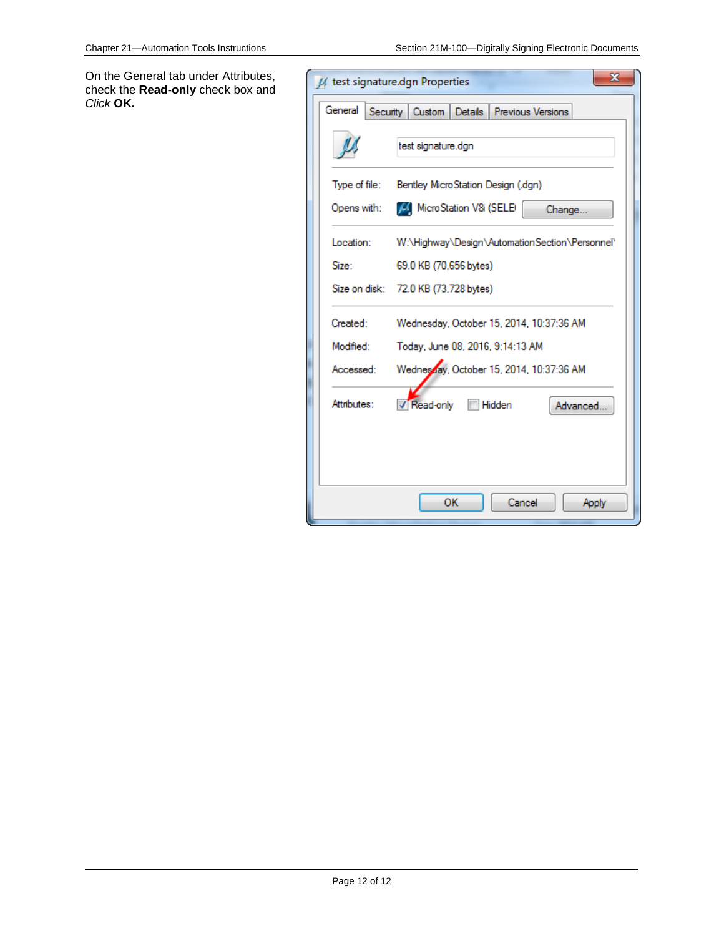On the General tab under Attributes, check the **Read-only** check box and *Click* **OK.**

| $\mathbf x$<br>// test signature.dgn Properties |                                                    |  |  |  |
|-------------------------------------------------|----------------------------------------------------|--|--|--|
| General                                         | Security   Custom   Details  <br>Previous Versions |  |  |  |
|                                                 | test signature.dgn                                 |  |  |  |
| Type of file:                                   | Bentley MicroStation Design (.dgn)                 |  |  |  |
| Opens with:                                     | MicroStation V8i (SELE)<br>Change                  |  |  |  |
| Location:                                       | W:\Highway\Design\AutomationSection\Personnel\     |  |  |  |
| Size:                                           | 69.0 KB (70,656 bytes)                             |  |  |  |
|                                                 | Size on disk: 72.0 KB (73,728 bytes)               |  |  |  |
| Created:                                        | Wednesday, October 15, 2014, 10:37:36 AM           |  |  |  |
| Modified:                                       | Today, June 08, 2016, 9:14:13 AM                   |  |  |  |
| Accessed:                                       | Wednesday, October 15, 2014, 10:37:36 AM           |  |  |  |
| Attributes:                                     | <b>√</b> Read-only<br><b>Hidden</b><br>Advanced    |  |  |  |
|                                                 |                                                    |  |  |  |
|                                                 |                                                    |  |  |  |
|                                                 | OK<br>Cancel<br>Apply                              |  |  |  |